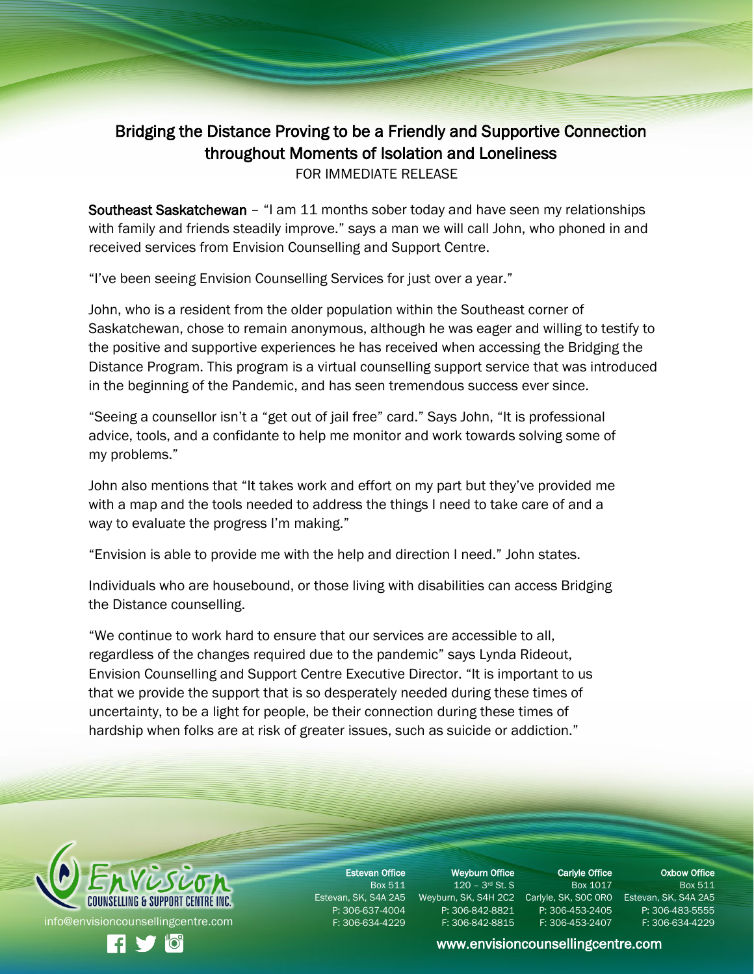## Bridging the Distance Proving to be a Friendly and Supportive Connection throughout Moments of Isolation and Loneliness FOR IMMEDIATE RELEASE

Southeast Saskatchewan – "I am 11 months sober today and have seen my relationships with family and friends steadily improve." says a man we will call John, who phoned in and received services from Envision Counselling and Support Centre.

"I've been seeing Envision Counselling Services for just over a year."

John, who is a resident from the older population within the Southeast corner of Saskatchewan, chose to remain anonymous, although he was eager and willing to testify to the positive and supportive experiences he has received when accessing the Bridging the Distance Program. This program is a virtual counselling support service that was introduced in the beginning of the Pandemic, and has seen tremendous success ever since.

"Seeing a counsellor isn't a "get out of jail free" card." Says John, "It is professional advice, tools, and a confidante to help me monitor and work towards solving some of my problems."

John also mentions that "It takes work and effort on my part but they've provided me with a map and the tools needed to address the things I need to take care of and a way to evaluate the progress I'm making."

"Envision is able to provide me with the help and direction I need." John states.

Individuals who are housebound, or those living with disabilities can access Bridging the Distance counselling.

"We continue to work hard to ensure that our services are accessible to all, regardless of the changes required due to the pandemic" says Lynda Rideout, Envision Counselling and Support Centre Executive Director. "It is important to us that we provide the support that is so desperately needed during these times of uncertainty, to be a light for people, be their connection during these times of hardship when folks are at risk of greater issues, such as suicide or addiction."



Estevan Office Box 511 P: 306-637-4004 F: 306-634-4229

Weyburn Office 120 - 3<sup>rd</sup> St. S P: 306-842-8821 F: 306-842-8815

Carlyle Office Box 1017 P: 306-453-2405

F: 306-453-2407

Oxbow Office Box 511

Estevan, SK, S4A 2A5 Weyburn, SK, S4H 2C2 Carlyle, SK, SOC ORO Estevan, SK, S4A 2A5 P: 306-483-5555

## [www.envisioncounsellingcentre.com](http://www.envisioncounsellingcentre.com/)